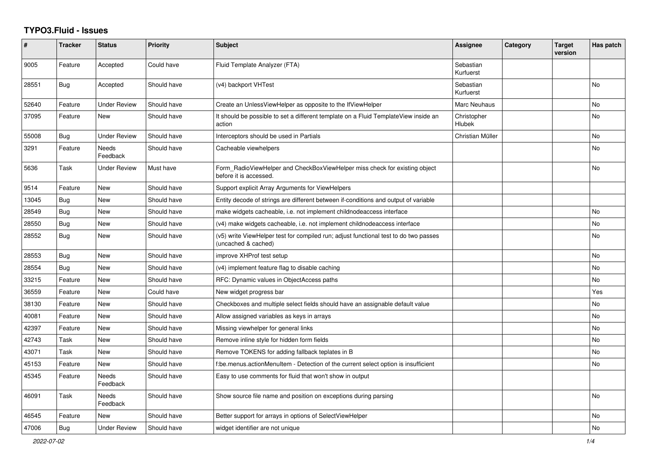## **TYPO3.Fluid - Issues**

| #     | <b>Tracker</b> | <b>Status</b>            | <b>Priority</b> | <b>Subject</b>                                                                                              | Assignee               | Category | <b>Target</b><br>version | Has patch |
|-------|----------------|--------------------------|-----------------|-------------------------------------------------------------------------------------------------------------|------------------------|----------|--------------------------|-----------|
| 9005  | Feature        | Accepted                 | Could have      | Fluid Template Analyzer (FTA)                                                                               | Sebastian<br>Kurfuerst |          |                          |           |
| 28551 | Bug            | Accepted                 | Should have     | (v4) backport VHTest                                                                                        | Sebastian<br>Kurfuerst |          |                          | No        |
| 52640 | Feature        | Under Review             | Should have     | Create an UnlessViewHelper as opposite to the IfViewHelper                                                  | <b>Marc Neuhaus</b>    |          |                          | No        |
| 37095 | Feature        | <b>New</b>               | Should have     | It should be possible to set a different template on a Fluid TemplateView inside an<br>action               | Christopher<br>Hlubek  |          |                          | <b>No</b> |
| 55008 | Bug            | Under Review             | Should have     | Interceptors should be used in Partials                                                                     | Christian Müller       |          |                          | No.       |
| 3291  | Feature        | <b>Needs</b><br>Feedback | Should have     | Cacheable viewhelpers                                                                                       |                        |          |                          | <b>No</b> |
| 5636  | Task           | <b>Under Review</b>      | Must have       | Form_RadioViewHelper and CheckBoxViewHelper miss check for existing object<br>before it is accessed.        |                        |          |                          | No        |
| 9514  | Feature        | New                      | Should have     | Support explicit Array Arguments for ViewHelpers                                                            |                        |          |                          |           |
| 13045 | Bug            | New                      | Should have     | Entity decode of strings are different between if-conditions and output of variable                         |                        |          |                          |           |
| 28549 | Bug            | New                      | Should have     | make widgets cacheable, i.e. not implement childnodeaccess interface                                        |                        |          |                          | No        |
| 28550 | Bug            | New                      | Should have     | (v4) make widgets cacheable, i.e. not implement childnodeaccess interface                                   |                        |          |                          | No        |
| 28552 | Bug            | <b>New</b>               | Should have     | (v5) write ViewHelper test for compiled run; adjust functional test to do two passes<br>(uncached & cached) |                        |          |                          | <b>No</b> |
| 28553 | Bug            | New                      | Should have     | improve XHProf test setup                                                                                   |                        |          |                          | <b>No</b> |
| 28554 | Bug            | New                      | Should have     | (v4) implement feature flag to disable caching                                                              |                        |          |                          | No        |
| 33215 | Feature        | New                      | Should have     | RFC: Dynamic values in ObjectAccess paths                                                                   |                        |          |                          | No        |
| 36559 | Feature        | New                      | Could have      | New widget progress bar                                                                                     |                        |          |                          | Yes       |
| 38130 | Feature        | New                      | Should have     | Checkboxes and multiple select fields should have an assignable default value                               |                        |          |                          | No        |
| 40081 | Feature        | <b>New</b>               | Should have     | Allow assigned variables as keys in arrays                                                                  |                        |          |                          | <b>No</b> |
| 42397 | Feature        | <b>New</b>               | Should have     | Missing viewhelper for general links                                                                        |                        |          |                          | <b>No</b> |
| 42743 | Task           | New                      | Should have     | Remove inline style for hidden form fields                                                                  |                        |          |                          | <b>No</b> |
| 43071 | Task           | <b>New</b>               | Should have     | Remove TOKENS for adding fallback teplates in B                                                             |                        |          |                          | <b>No</b> |
| 45153 | Feature        | New                      | Should have     | f:be.menus.actionMenuItem - Detection of the current select option is insufficient                          |                        |          |                          | <b>No</b> |
| 45345 | Feature        | Needs<br>Feedback        | Should have     | Easy to use comments for fluid that won't show in output                                                    |                        |          |                          |           |
| 46091 | Task           | Needs<br>Feedback        | Should have     | Show source file name and position on exceptions during parsing                                             |                        |          |                          | No        |
| 46545 | Feature        | New                      | Should have     | Better support for arrays in options of SelectViewHelper                                                    |                        |          |                          | No.       |
| 47006 | <b>Bug</b>     | <b>Under Review</b>      | Should have     | widget identifier are not unique                                                                            |                        |          |                          | No        |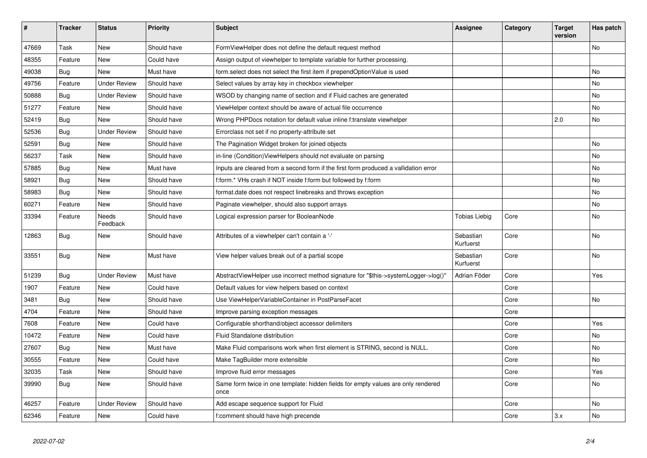| #     | <b>Tracker</b> | <b>Status</b>       | <b>Priority</b> | <b>Subject</b>                                                                            | <b>Assignee</b>        | Category | Target<br>version | Has patch |
|-------|----------------|---------------------|-----------------|-------------------------------------------------------------------------------------------|------------------------|----------|-------------------|-----------|
| 47669 | Task           | New                 | Should have     | FormViewHelper does not define the default request method                                 |                        |          |                   | <b>No</b> |
| 48355 | Feature        | <b>New</b>          | Could have      | Assign output of viewhelper to template variable for further processing.                  |                        |          |                   |           |
| 49038 | Bug            | <b>New</b>          | Must have       | form.select does not select the first item if prependOptionValue is used                  |                        |          |                   | No        |
| 49756 | Feature        | <b>Under Review</b> | Should have     | Select values by array key in checkbox viewhelper                                         |                        |          |                   | <b>No</b> |
| 50888 | Bug            | Under Review        | Should have     | WSOD by changing name of section and if Fluid caches are generated                        |                        |          |                   | <b>No</b> |
| 51277 | Feature        | New                 | Should have     | ViewHelper context should be aware of actual file occurrence                              |                        |          |                   | No        |
| 52419 | Bug            | New                 | Should have     | Wrong PHPDocs notation for default value inline f:translate viewhelper                    |                        |          | 2.0               | <b>No</b> |
| 52536 | Bug            | <b>Under Review</b> | Should have     | Errorclass not set if no property-attribute set                                           |                        |          |                   |           |
| 52591 | <b>Bug</b>     | New                 | Should have     | The Pagination Widget broken for joined objects                                           |                        |          |                   | <b>No</b> |
| 56237 | Task           | New                 | Should have     | in-line (Condition) View Helpers should not evaluate on parsing                           |                        |          |                   | No        |
| 57885 | <b>Bug</b>     | <b>New</b>          | Must have       | Inputs are cleared from a second form if the first form produced a vallidation error      |                        |          |                   | No        |
| 58921 | Bug            | New                 | Should have     | f:form.* VHs crash if NOT inside f:form but followed by f:form                            |                        |          |                   | No        |
| 58983 | Bug            | New                 | Should have     | format.date does not respect linebreaks and throws exception                              |                        |          |                   | <b>No</b> |
| 60271 | Feature        | New                 | Should have     | Paginate viewhelper, should also support arrays                                           |                        |          |                   | No        |
| 33394 | Feature        | Needs<br>Feedback   | Should have     | Logical expression parser for BooleanNode                                                 | Tobias Liebig          | Core     |                   | No        |
| 12863 | <b>Bug</b>     | New                 | Should have     | Attributes of a viewhelper can't contain a '-'                                            | Sebastian<br>Kurfuerst | Core     |                   | <b>No</b> |
| 33551 | Bug            | New                 | Must have       | View helper values break out of a partial scope                                           | Sebastian<br>Kurfuerst | Core     |                   | <b>No</b> |
| 51239 | Bug            | <b>Under Review</b> | Must have       | AbstractViewHelper use incorrect method signature for "\$this->systemLogger->log()"       | Adrian Föder           | Core     |                   | Yes       |
| 1907  | Feature        | <b>New</b>          | Could have      | Default values for view helpers based on context                                          |                        | Core     |                   |           |
| 3481  | Bug            | New                 | Should have     | Use ViewHelperVariableContainer in PostParseFacet                                         |                        | Core     |                   | No        |
| 4704  | Feature        | <b>New</b>          | Should have     | Improve parsing exception messages                                                        |                        | Core     |                   |           |
| 7608  | Feature        | <b>New</b>          | Could have      | Configurable shorthand/object accessor delimiters                                         |                        | Core     |                   | Yes       |
| 10472 | Feature        | <b>New</b>          | Could have      | Fluid Standalone distribution                                                             |                        | Core     |                   | <b>No</b> |
| 27607 | <b>Bug</b>     | <b>New</b>          | Must have       | Make Fluid comparisons work when first element is STRING, second is NULL.                 |                        | Core     |                   | <b>No</b> |
| 30555 | Feature        | New                 | Could have      | Make TagBuilder more extensible                                                           |                        | Core     |                   | No        |
| 32035 | Task           | New                 | Should have     | Improve fluid error messages                                                              |                        | Core     |                   | Yes       |
| 39990 | <b>Bug</b>     | <b>New</b>          | Should have     | Same form twice in one template: hidden fields for empty values are only rendered<br>once |                        | Core     |                   | <b>No</b> |
| 46257 | Feature        | <b>Under Review</b> | Should have     | Add escape sequence support for Fluid                                                     |                        | Core     |                   | <b>No</b> |
| 62346 | Feature        | New                 | Could have      | f:comment should have high precende                                                       |                        | Core     | 3.x               | No        |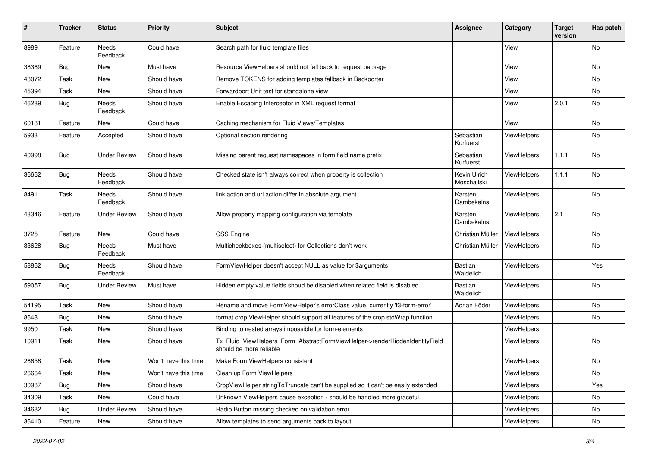| $\pmb{\#}$ | <b>Tracker</b> | <b>Status</b>            | <b>Priority</b>      | <b>Subject</b>                                                                                         | <b>Assignee</b>             | Category           | <b>Target</b><br>version | Has patch |
|------------|----------------|--------------------------|----------------------|--------------------------------------------------------------------------------------------------------|-----------------------------|--------------------|--------------------------|-----------|
| 8989       | Feature        | <b>Needs</b><br>Feedback | Could have           | Search path for fluid template files                                                                   |                             | View               |                          | No        |
| 38369      | Bug            | New                      | Must have            | Resource ViewHelpers should not fall back to request package                                           |                             | View               |                          | No        |
| 43072      | Task           | New                      | Should have          | Remove TOKENS for adding templates fallback in Backporter                                              |                             | View               |                          | No        |
| 45394      | Task           | New                      | Should have          | Forwardport Unit test for standalone view                                                              |                             | View               |                          | No        |
| 46289      | Bug            | <b>Needs</b><br>Feedback | Should have          | Enable Escaping Interceptor in XML request format                                                      |                             | View               | 2.0.1                    | No        |
| 60181      | Feature        | New                      | Could have           | Caching mechanism for Fluid Views/Templates                                                            |                             | View               |                          | No.       |
| 5933       | Feature        | Accepted                 | Should have          | Optional section rendering                                                                             | Sebastian<br>Kurfuerst      | ViewHelpers        |                          | No        |
| 40998      | Bug            | <b>Under Review</b>      | Should have          | Missing parent request namespaces in form field name prefix                                            | Sebastian<br>Kurfuerst      | ViewHelpers        | 1.1.1                    | No        |
| 36662      | <b>Bug</b>     | Needs<br>Feedback        | Should have          | Checked state isn't always correct when property is collection                                         | Kevin Ulrich<br>Moschallski | ViewHelpers        | 1.1.1                    | No        |
| 8491       | Task           | Needs<br>Feedback        | Should have          | link.action and uri.action differ in absolute argument                                                 | Karsten<br>Dambekalns       | ViewHelpers        |                          | No        |
| 43346      | Feature        | <b>Under Review</b>      | Should have          | Allow property mapping configuration via template                                                      | Karsten<br>Dambekalns       | ViewHelpers        | 2.1                      | No        |
| 3725       | Feature        | <b>New</b>               | Could have           | <b>CSS Engine</b>                                                                                      | Christian Müller            | ViewHelpers        |                          | No.       |
| 33628      | Bug            | <b>Needs</b><br>Feedback | Must have            | Multicheckboxes (multiselect) for Collections don't work                                               | Christian Müller            | ViewHelpers        |                          | No        |
| 58862      | Bug            | Needs<br>Feedback        | Should have          | FormViewHelper doesn't accept NULL as value for \$arguments                                            | Bastian<br>Waidelich        | ViewHelpers        |                          | Yes       |
| 59057      | Bug            | <b>Under Review</b>      | Must have            | Hidden empty value fields shoud be disabled when related field is disabled                             | <b>Bastian</b><br>Waidelich | <b>ViewHelpers</b> |                          | No        |
| 54195      | Task           | New                      | Should have          | Rename and move FormViewHelper's errorClass value, currently 'f3-form-error'                           | Adrian Föder                | ViewHelpers        |                          | No        |
| 8648       | Bug            | New                      | Should have          | format.crop ViewHelper should support all features of the crop stdWrap function                        |                             | ViewHelpers        |                          | No        |
| 9950       | Task           | New                      | Should have          | Binding to nested arrays impossible for form-elements                                                  |                             | ViewHelpers        |                          |           |
| 10911      | Task           | New                      | Should have          | Tx Fluid ViewHelpers Form AbstractFormViewHelper->renderHiddenIdentityField<br>should be more reliable |                             | <b>ViewHelpers</b> |                          | No        |
| 26658      | Task           | New                      | Won't have this time | Make Form ViewHelpers consistent                                                                       |                             | ViewHelpers        |                          | No        |
| 26664      | Task           | New                      | Won't have this time | Clean up Form ViewHelpers                                                                              |                             | ViewHelpers        |                          | No        |
| 30937      | Bug            | New                      | Should have          | CropViewHelper stringToTruncate can't be supplied so it can't be easily extended                       |                             | ViewHelpers        |                          | Yes       |
| 34309      | Task           | New                      | Could have           | Unknown ViewHelpers cause exception - should be handled more graceful                                  |                             | ViewHelpers        |                          | No        |
| 34682      | Bug            | <b>Under Review</b>      | Should have          | Radio Button missing checked on validation error                                                       |                             | ViewHelpers        |                          | No        |
| 36410      | Feature        | New                      | Should have          | Allow templates to send arguments back to layout                                                       |                             | ViewHelpers        |                          | No        |